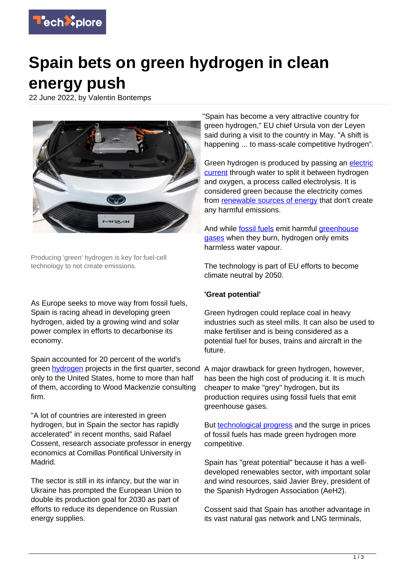

## **Spain bets on green hydrogen in clean energy push**

22 June 2022, by Valentin Bontemps



Producing 'green' hydrogen is key for fuel-cell technology to not create emissions.

As Europe seeks to move way from fossil fuels, Spain is racing ahead in developing green hydrogen, aided by a growing wind and solar power complex in efforts to decarbonise its economy.

Spain accounted for 20 percent of the world's green [hydrogen](https://techxplore.com/tags/hydrogen/) projects in the first quarter, second A major drawback for green hydrogen, however, only to the United States, home to more than half of them, according to Wood Mackenzie consulting firm.

"A lot of countries are interested in green hydrogen, but in Spain the sector has rapidly accelerated" in recent months, said Rafael Cossent, research associate professor in energy economics at Comillas Pontifical University in Madrid.

The sector is still in its infancy, but the war in Ukraine has prompted the European Union to double its production goal for 2030 as part of efforts to reduce its dependence on Russian energy supplies.

"Spain has become a very attractive country for green hydrogen," EU chief Ursula von der Leyen said during a visit to the country in May. "A shift is happening ... to mass-scale competitive hydrogen".

Green hydrogen is produced by passing an [electric](https://techxplore.com/tags/electric+current/) [current](https://techxplore.com/tags/electric+current/) through water to split it between hydrogen and oxygen, a process called electrolysis. It is considered green because the electricity comes from [renewable sources of energy](https://techxplore.com/tags/renewable+sources+of+energy/) that don't create any harmful emissions.

And while [fossil fuels](https://techxplore.com/tags/fossil+fuels/) emit harmful [greenhouse](https://techxplore.com/tags/greenhouse+gases/) [gases](https://techxplore.com/tags/greenhouse+gases/) when they burn, hydrogen only emits harmless water vapour.

The technology is part of EU efforts to become climate neutral by 2050.

## **'Great potential'**

Green hydrogen could replace coal in heavy industries such as steel mills. It can also be used to make fertiliser and is being considered as a potential fuel for buses, trains and aircraft in the future.

has been the high cost of producing it. It is much cheaper to make "grey" hydrogen, but its production requires using fossil fuels that emit greenhouse gases.

But [technological progress](https://techxplore.com/tags/technological+progress/) and the surge in prices of fossil fuels has made green hydrogen more competitive.

Spain has "great potential" because it has a welldeveloped renewables sector, with important solar and wind resources, said Javier Brey, president of the Spanish Hydrogen Association (AeH2).

Cossent said that Spain has another advantage in its vast natural gas network and LNG terminals,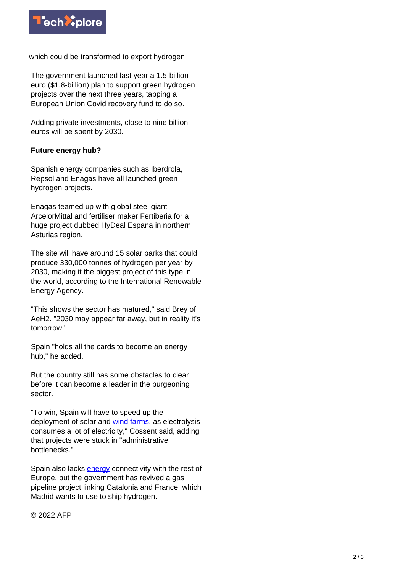

which could be transformed to export hydrogen.

The government launched last year a 1.5-billioneuro (\$1.8-billion) plan to support green hydrogen projects over the next three years, tapping a European Union Covid recovery fund to do so.

Adding private investments, close to nine billion euros will be spent by 2030.

## **Future energy hub?**

Spanish energy companies such as Iberdrola, Repsol and Enagas have all launched green hydrogen projects.

Enagas teamed up with global steel giant ArcelorMittal and fertiliser maker Fertiberia for a huge project dubbed HyDeal Espana in northern Asturias region.

The site will have around 15 solar parks that could produce 330,000 tonnes of hydrogen per year by 2030, making it the biggest project of this type in the world, according to the International Renewable Energy Agency.

"This shows the sector has matured," said Brey of AeH2. "2030 may appear far away, but in reality it's tomorrow."

Spain "holds all the cards to become an energy hub," he added.

But the country still has some obstacles to clear before it can become a leader in the burgeoning sector.

"To win, Spain will have to speed up the deployment of solar and [wind farms,](https://techxplore.com/tags/wind+farms/) as electrolysis consumes a lot of electricity," Cossent said, adding that projects were stuck in "administrative bottlenecks."

Spain also lacks **energy** connectivity with the rest of Europe, but the government has revived a gas pipeline project linking Catalonia and France, which Madrid wants to use to ship hydrogen.

© 2022 AFP